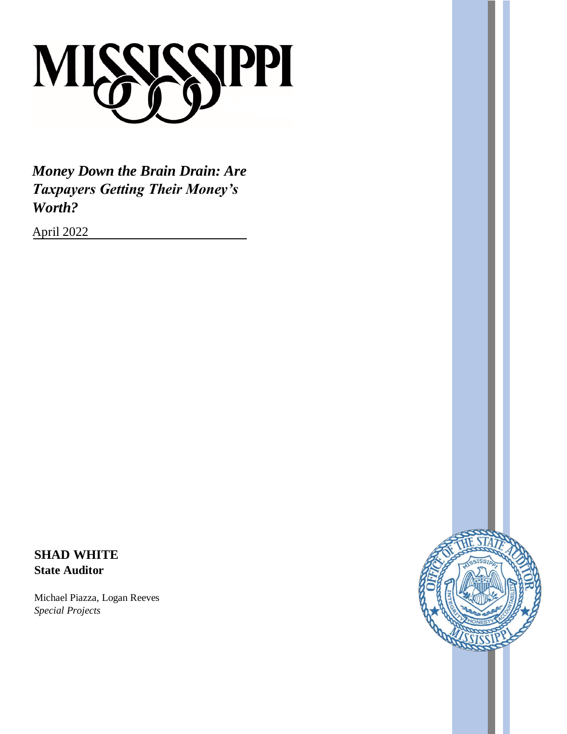

*Money Down the Brain Drain: Are Taxpayers Getting Their Money's Worth?*

April 2022

**SHAD WHITE State Auditor**

Michael Piazza, Logan Reeves *Special Projects*

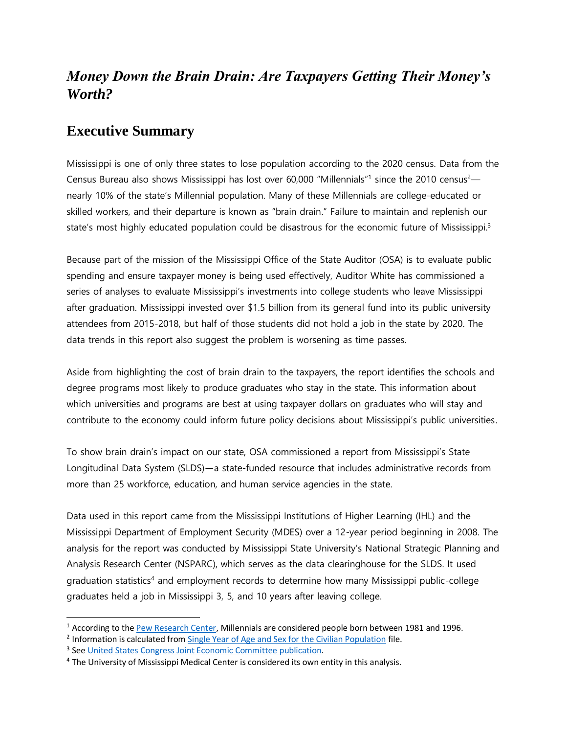# *Money Down the Brain Drain: Are Taxpayers Getting Their Money's Worth?*

#### **Executive Summary**

Mississippi is one of only three states to lose population according to the 2020 census. Data from the Census Bureau also shows Mississippi has lost over 60,000 "Millennials"<sup>1</sup> since the 2010 census<sup>2</sup> nearly 10% of the state's Millennial population. Many of these Millennials are college-educated or skilled workers, and their departure is known as "brain drain." Failure to maintain and replenish our state's most highly educated population could be disastrous for the economic future of Mississippi.<sup>3</sup>

Because part of the mission of the Mississippi Office of the State Auditor (OSA) is to evaluate public spending and ensure taxpayer money is being used effectively, Auditor White has commissioned a series of analyses to evaluate Mississippi's investments into college students who leave Mississippi after graduation. Mississippi invested over \$1.5 billion from its general fund into its public university attendees from 2015-2018, but half of those students did not hold a job in the state by 2020. The data trends in this report also suggest the problem is worsening as time passes.

Aside from highlighting the cost of brain drain to the taxpayers, the report identifies the schools and degree programs most likely to produce graduates who stay in the state. This information about which universities and programs are best at using taxpayer dollars on graduates who will stay and contribute to the economy could inform future policy decisions about Mississippi's public universities.

To show brain drain's impact on our state, OSA commissioned a report from Mississippi's State Longitudinal Data System (SLDS)—a state-funded resource that includes administrative records from more than 25 workforce, education, and human service agencies in the state.

Data used in this report came from the Mississippi Institutions of Higher Learning (IHL) and the Mississippi Department of Employment Security (MDES) over a 12-year period beginning in 2008. The analysis for the report was conducted by Mississippi State University's National Strategic Planning and Analysis Research Center (NSPARC), which serves as the data clearinghouse for the SLDS. It used graduation statistics<sup>4</sup> and employment records to determine how many Mississippi public-college graduates held a job in Mississippi 3, 5, and 10 years after leaving college.

<sup>&</sup>lt;sup>1</sup> According to th[e Pew Research Center,](https://www.pewresearch.org/fact-tank/2019/01/17/where-millennials-end-and-generation-z-begins/) Millennials are considered people born between 1981 and 1996.

<sup>&</sup>lt;sup>2</sup> Information is calculated fro[m Single Year of Age and Sex for the Civilian Population](https://www2.census.gov/programs-surveys/popest/datasets/2010-2020/state/asrh/SC-EST2020-AGESEX-CIV.csv) file.

<sup>&</sup>lt;sup>3</sup> See [United States Congress Joint Economic Committee publication.](https://www.jec.senate.gov/public/index.cfm/republicans/2019/4/losing-our-minds-brain-drain-across-the-united-states)

<sup>&</sup>lt;sup>4</sup> The University of Mississippi Medical Center is considered its own entity in this analysis.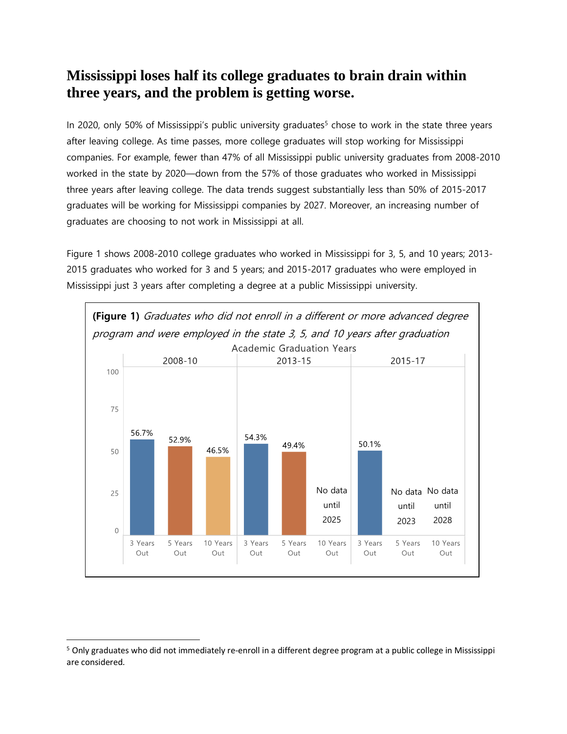### **Mississippi loses half its college graduates to brain drain within three years, and the problem is getting worse.**

In 2020, only 50% of Mississippi's public university graduates<sup>5</sup> chose to work in the state three years after leaving college. As time passes, more college graduates will stop working for Mississippi companies. For example, fewer than 47% of all Mississippi public university graduates from 2008-2010 worked in the state by 2020—down from the 57% of those graduates who worked in Mississippi three years after leaving college. The data trends suggest substantially less than 50% of 2015-2017 graduates will be working for Mississippi companies by 2027. Moreover, an increasing number of graduates are choosing to not work in Mississippi at all.

Figure 1 shows 2008-2010 college graduates who worked in Mississippi for 3, 5, and 10 years; 2013- 2015 graduates who worked for 3 and 5 years; and 2015-2017 graduates who were employed in Mississippi just 3 years after completing a degree at a public Mississippi university.



 $\overline{\phantom{a}}$ 

<sup>&</sup>lt;sup>5</sup> Only graduates who did not immediately re-enroll in a different degree program at a public college in Mississippi are considered.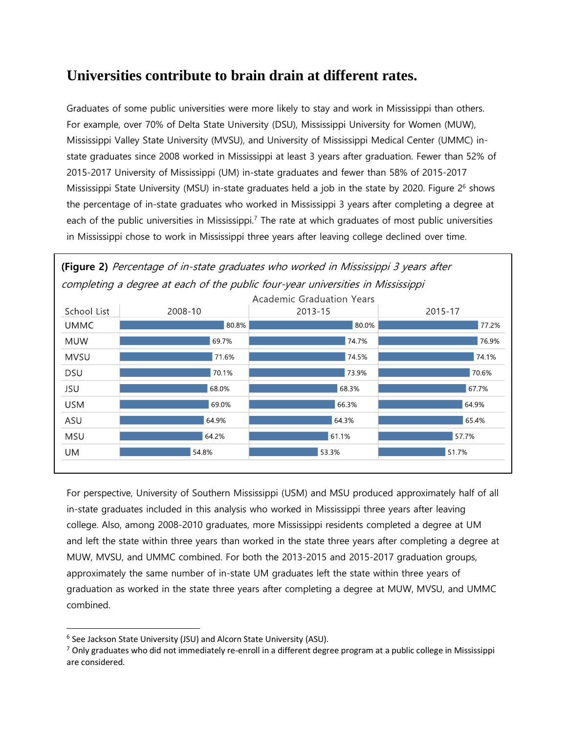## **Universities contribute to brain drain at different rates.**

Graduates of some public universities were more likely to stay and work in Mississippi than others. For example, over 70% of Delta State University (DSU), Mississippi University for Women (MUW), Mississippi Valley State University (MVSU), and University of Mississippi Medical Center (UMMC) instate graduates since 2008 worked in Mississippi at least 3 years after graduation. Fewer than 52% of 2015-2017 University of Mississippi (UM) in-state graduates and fewer than 58% of 2015-2017 Mississippi State University (MSU) in-state graduates held a job in the state by 2020. Figure 2<sup>6</sup> shows the percentage of in-state graduates who worked in Mississippi 3 years after completing a degree at each of the public universities in Mississippi.<sup>7</sup> The rate at which graduates of most public universities in Mississippi chose to work in Mississippi three years after leaving college declined over time.





For perspective, University of Southern Mississippi (USM) and MSU produced approximately half of all in-state graduates included in this analysis who worked in Mississippi three years after leaving college. Also, among 2008-2010 graduates, more Mississippi residents completed a degree at UM and left the state within three years than worked in the state three years after completing a degree at MUW, MVSU, and UMMC combined. For both the 2013-2015 and 2015-2017 graduation groups, approximately the same number of in-state UM graduates left the state within three years of graduation as worked in the state three years after completing a degree at MUW, MVSU, and UMMC combined.

<sup>&</sup>lt;sup>6</sup> See Jackson State University (JSU) and Alcorn State University (ASU).

 $^7$  Only graduates who did not immediately re-enroll in a different degree program at a public college in Mississippi are considered.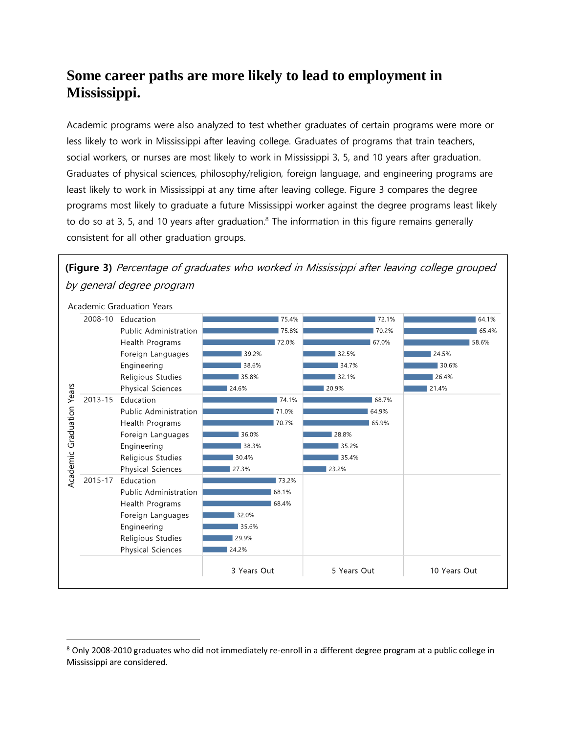## **Some career paths are more likely to lead to employment in Mississippi.**

Academic programs were also analyzed to test whether graduates of certain programs were more or less likely to work in Mississippi after leaving college. Graduates of programs that train teachers, social workers, or nurses are most likely to work in Mississippi 3, 5, and 10 years after graduation. Graduates of physical sciences, philosophy/religion, foreign language, and engineering programs are least likely to work in Mississippi at any time after leaving college. Figure 3 compares the degree programs most likely to graduate a future Mississippi worker against the degree programs least likely to do so at 3, 5, and 10 years after graduation.<sup>8</sup> The information in this figure remains generally consistent for all other graduation groups.



**(Figure 3)** Percentage of graduates who worked in Mississippi after leaving college grouped by general degree program

 $\overline{\phantom{a}}$ 

<sup>8</sup> Only 2008-2010 graduates who did not immediately re-enroll in a different degree program at a public college in Mississippi are considered.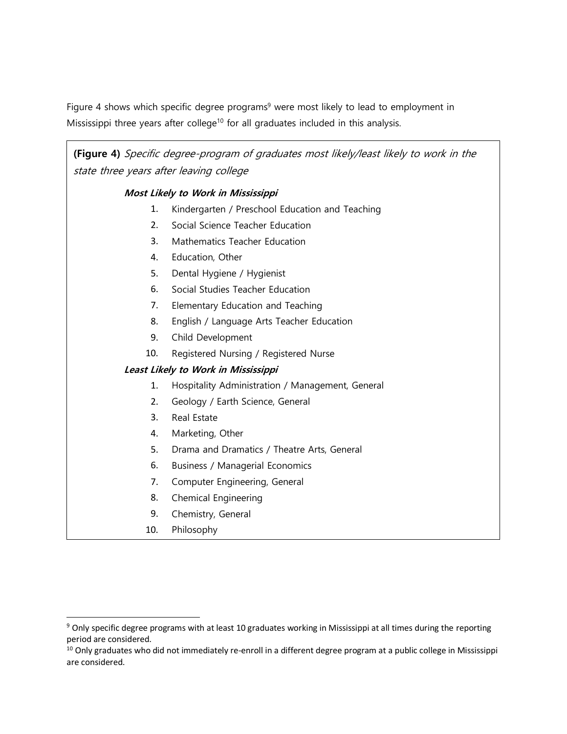Figure 4 shows which specific degree programs<sup>9</sup> were most likely to lead to employment in Mississippi three years after college<sup>10</sup> for all graduates included in this analysis.

**(Figure 4)** Specific degree-program of graduates most likely/least likely to work in the state three years after leaving college

#### **Most Likely to Work in Mississippi**

- 1. Kindergarten / Preschool Education and Teaching
- 2. Social Science Teacher Education
- 3. Mathematics Teacher Education
- 4. Education, Other
- 5. Dental Hygiene / Hygienist
- 6. Social Studies Teacher Education
- 7. Elementary Education and Teaching
- 8. English / Language Arts Teacher Education
- 9. Child Development
- 10. Registered Nursing / Registered Nurse

#### **Least Likely to Work in Mississippi**

- 1. Hospitality Administration / Management, General
- 2. Geology / Earth Science, General
- 3. Real Estate
- 4. Marketing, Other
- 5. Drama and Dramatics / Theatre Arts, General
- 6. Business / Managerial Economics
- 7. Computer Engineering, General
- 8. Chemical Engineering
- 9. Chemistry, General
- 10. Philosophy

<sup>&</sup>lt;sup>9</sup> Only specific degree programs with at least 10 graduates working in Mississippi at all times during the reporting period are considered.

 $10$  Only graduates who did not immediately re-enroll in a different degree program at a public college in Mississippi are considered.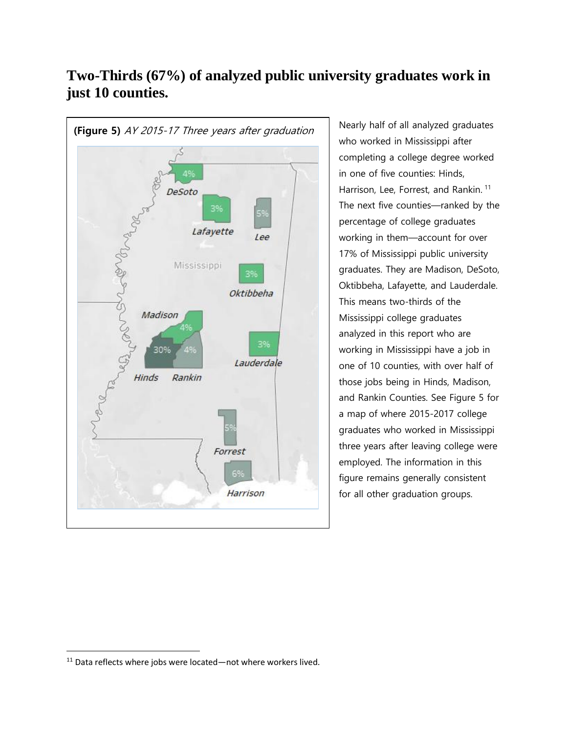

# **Two-Thirds (67%) of analyzed public university graduates work in just 10 counties.**

Nearly half of all analyzed graduates who worked in Mississippi after completing a college degree worked in one of five counties: Hinds, Harrison, Lee, Forrest, and Rankin. 11 The next five counties—ranked by the percentage of college graduates working in them—account for over 17% of Mississippi public university graduates. They are Madison, DeSoto, Oktibbeha, Lafayette, and Lauderdale. This means two-thirds of the Mississippi college graduates analyzed in this report who are working in Mississippi have a job in one of 10 counties, with over half of those jobs being in Hinds, Madison, and Rankin Counties. See Figure 5 for a map of where 2015-2017 college graduates who worked in Mississippi three years after leaving college were employed. The information in this figure remains generally consistent for all other graduation groups.

 $11$  Data reflects where jobs were located—not where workers lived.